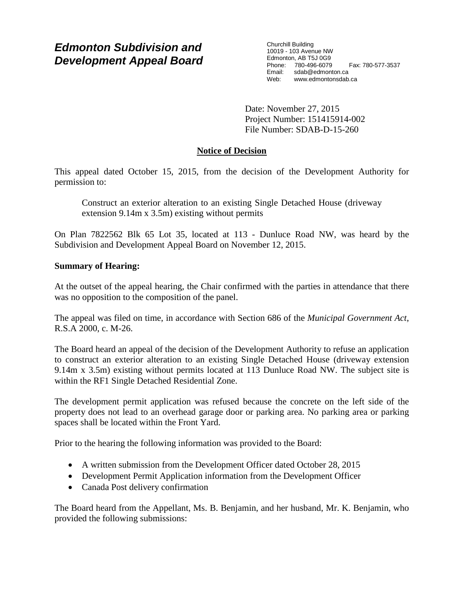Churchill Building 10019 - 103 Avenue NW Edmonton, AB T5J 0G9 Phone: 780-496-6079 Fax: 780-577-3537 Email: sdab@edmonton.ca Web: www.edmontonsdab.ca

Date: November 27, 2015 Project Number: 151415914-002 File Number: SDAB-D-15-260

# **Notice of Decision**

This appeal dated October 15, 2015, from the decision of the Development Authority for permission to:

Construct an exterior alteration to an existing Single Detached House (driveway extension 9.14m x 3.5m) existing without permits

On Plan 7822562 Blk 65 Lot 35, located at 113 - Dunluce Road NW, was heard by the Subdivision and Development Appeal Board on November 12, 2015.

# **Summary of Hearing:**

At the outset of the appeal hearing, the Chair confirmed with the parties in attendance that there was no opposition to the composition of the panel.

The appeal was filed on time, in accordance with Section 686 of the *Municipal Government Act*, R.S.A 2000, c. M-26.

The Board heard an appeal of the decision of the Development Authority to refuse an application to construct an exterior alteration to an existing Single Detached House (driveway extension 9.14m x 3.5m) existing without permits located at 113 Dunluce Road NW. The subject site is within the RF1 Single Detached Residential Zone.

The development permit application was refused because the concrete on the left side of the property does not lead to an overhead garage door or parking area. No parking area or parking spaces shall be located within the Front Yard.

Prior to the hearing the following information was provided to the Board:

- A written submission from the Development Officer dated October 28, 2015
- Development Permit Application information from the Development Officer
- Canada Post delivery confirmation

The Board heard from the Appellant, Ms. B. Benjamin, and her husband, Mr. K. Benjamin, who provided the following submissions: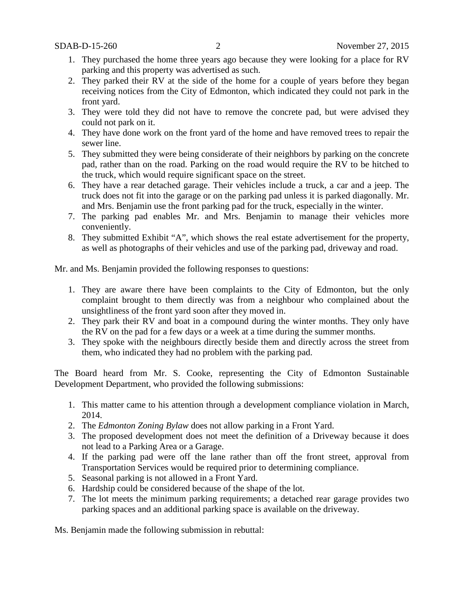- 1. They purchased the home three years ago because they were looking for a place for RV parking and this property was advertised as such.
- 2. They parked their RV at the side of the home for a couple of years before they began receiving notices from the City of Edmonton, which indicated they could not park in the front yard.
- 3. They were told they did not have to remove the concrete pad, but were advised they could not park on it.
- 4. They have done work on the front yard of the home and have removed trees to repair the sewer line.
- 5. They submitted they were being considerate of their neighbors by parking on the concrete pad, rather than on the road. Parking on the road would require the RV to be hitched to the truck, which would require significant space on the street.
- 6. They have a rear detached garage. Their vehicles include a truck, a car and a jeep. The truck does not fit into the garage or on the parking pad unless it is parked diagonally. Mr. and Mrs. Benjamin use the front parking pad for the truck, especially in the winter.
- 7. The parking pad enables Mr. and Mrs. Benjamin to manage their vehicles more conveniently.
- 8. They submitted Exhibit "A", which shows the real estate advertisement for the property, as well as photographs of their vehicles and use of the parking pad, driveway and road.

Mr. and Ms. Benjamin provided the following responses to questions:

- 1. They are aware there have been complaints to the City of Edmonton, but the only complaint brought to them directly was from a neighbour who complained about the unsightliness of the front yard soon after they moved in.
- 2. They park their RV and boat in a compound during the winter months. They only have the RV on the pad for a few days or a week at a time during the summer months.
- 3. They spoke with the neighbours directly beside them and directly across the street from them, who indicated they had no problem with the parking pad.

The Board heard from Mr. S. Cooke, representing the City of Edmonton Sustainable Development Department, who provided the following submissions:

- 1. This matter came to his attention through a development compliance violation in March, 2014.
- 2. The *Edmonton Zoning Bylaw* does not allow parking in a Front Yard.
- 3. The proposed development does not meet the definition of a Driveway because it does not lead to a Parking Area or a Garage.
- 4. If the parking pad were off the lane rather than off the front street, approval from Transportation Services would be required prior to determining compliance.
- 5. Seasonal parking is not allowed in a Front Yard.
- 6. Hardship could be considered because of the shape of the lot.
- 7. The lot meets the minimum parking requirements; a detached rear garage provides two parking spaces and an additional parking space is available on the driveway.

Ms. Benjamin made the following submission in rebuttal: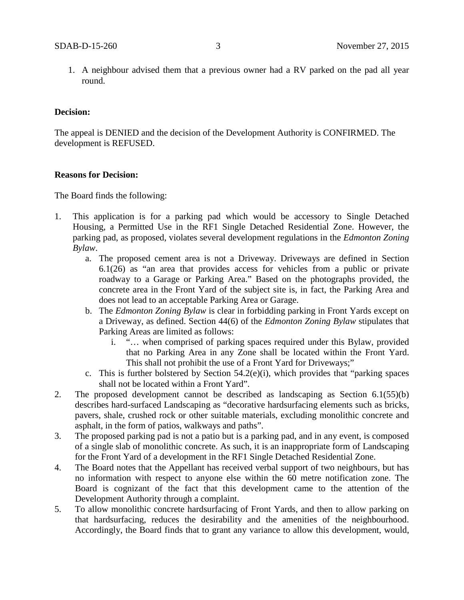1. A neighbour advised them that a previous owner had a RV parked on the pad all year round.

#### **Decision:**

The appeal is DENIED and the decision of the Development Authority is CONFIRMED. The development is REFUSED.

## **Reasons for Decision:**

The Board finds the following:

- 1. This application is for a parking pad which would be accessory to Single Detached Housing, a Permitted Use in the RF1 Single Detached Residential Zone. However, the parking pad, as proposed, violates several development regulations in the *Edmonton Zoning Bylaw*.
	- a. The proposed cement area is not a Driveway. Driveways are defined in Section 6.1(26) as "an area that provides access for vehicles from a public or private roadway to a Garage or Parking Area." Based on the photographs provided, the concrete area in the Front Yard of the subject site is, in fact, the Parking Area and does not lead to an acceptable Parking Area or Garage.
	- b. The *Edmonton Zoning Bylaw* is clear in forbidding parking in Front Yards except on a Driveway, as defined. Section 44(6) of the *Edmonton Zoning Bylaw* stipulates that Parking Areas are limited as follows:
		- i. "… when comprised of parking spaces required under this Bylaw, provided that no Parking Area in any Zone shall be located within the Front Yard. This shall not prohibit the use of a Front Yard for Driveways;"
	- c. This is further bolstered by Section 54.2(e)(i), which provides that "parking spaces shall not be located within a Front Yard".
- 2. The proposed development cannot be described as landscaping as Section 6.1(55)(b) describes hard-surfaced Landscaping as "decorative hardsurfacing elements such as bricks, pavers, shale, crushed rock or other suitable materials, excluding monolithic concrete and asphalt, in the form of patios, walkways and paths".
- 3. The proposed parking pad is not a patio but is a parking pad, and in any event, is composed of a single slab of monolithic concrete. As such, it is an inappropriate form of Landscaping for the Front Yard of a development in the RF1 Single Detached Residential Zone.
- 4. The Board notes that the Appellant has received verbal support of two neighbours, but has no information with respect to anyone else within the 60 metre notification zone. The Board is cognizant of the fact that this development came to the attention of the Development Authority through a complaint.
- 5. To allow monolithic concrete hardsurfacing of Front Yards, and then to allow parking on that hardsurfacing, reduces the desirability and the amenities of the neighbourhood. Accordingly, the Board finds that to grant any variance to allow this development, would,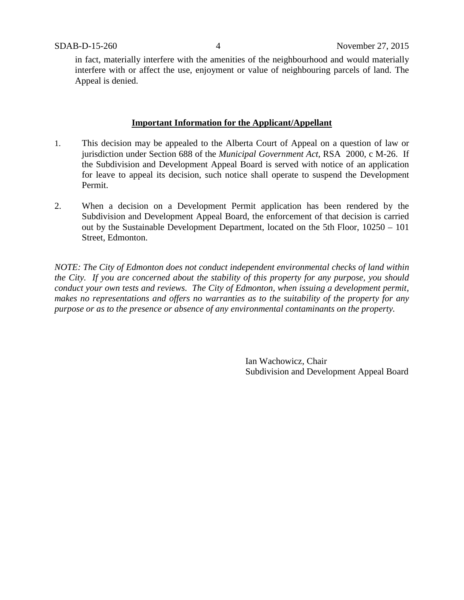in fact, materially interfere with the amenities of the neighbourhood and would materially interfere with or affect the use, enjoyment or value of neighbouring parcels of land. The Appeal is denied.

#### **Important Information for the Applicant/Appellant**

- 1. This decision may be appealed to the Alberta Court of Appeal on a question of law or jurisdiction under Section 688 of the *Municipal Government Act*, RSA 2000, c M-26. If the Subdivision and Development Appeal Board is served with notice of an application for leave to appeal its decision, such notice shall operate to suspend the Development Permit.
- 2. When a decision on a Development Permit application has been rendered by the Subdivision and Development Appeal Board, the enforcement of that decision is carried out by the Sustainable Development Department, located on the 5th Floor, 10250 – 101 Street, Edmonton.

*NOTE: The City of Edmonton does not conduct independent environmental checks of land within the City. If you are concerned about the stability of this property for any purpose, you should conduct your own tests and reviews. The City of Edmonton, when issuing a development permit, makes no representations and offers no warranties as to the suitability of the property for any purpose or as to the presence or absence of any environmental contaminants on the property.*

> Ian Wachowicz, Chair Subdivision and Development Appeal Board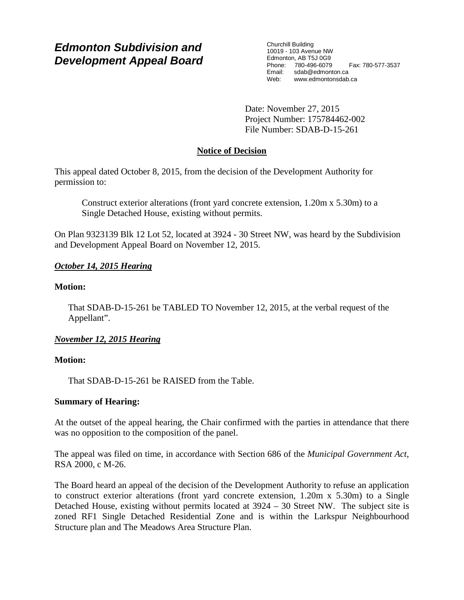Churchill Building 10019 - 103 Avenue NW Edmonton, AB T5J 0G9 Phone: 780-496-6079 Fax: 780-577-3537 Email: sdab@edmonton.ca Web: www.edmontonsdab.ca

Date: November 27, 2015 Project Number: 175784462-002 File Number: SDAB-D-15-261

# **Notice of Decision**

This appeal dated October 8, 2015, from the decision of the Development Authority for permission to:

Construct exterior alterations (front yard concrete extension, 1.20m x 5.30m) to a Single Detached House, existing without permits.

On Plan 9323139 Blk 12 Lot 52, located at 3924 - 30 Street NW, was heard by the Subdivision and Development Appeal Board on November 12, 2015.

# *October 14, 2015 Hearing*

## **Motion:**

That SDAB-D-15-261 be TABLED TO November 12, 2015, at the verbal request of the Appellant".

# *November 12, 2015 Hearing*

## **Motion:**

That SDAB-D-15-261 be RAISED from the Table.

## **Summary of Hearing:**

At the outset of the appeal hearing, the Chair confirmed with the parties in attendance that there was no opposition to the composition of the panel.

The appeal was filed on time, in accordance with Section 686 of the *Municipal Government Act*, RSA 2000, c M-26.

The Board heard an appeal of the decision of the Development Authority to refuse an application to construct exterior alterations (front yard concrete extension, 1.20m x 5.30m) to a Single Detached House, existing without permits located at 3924 – 30 Street NW. The subject site is zoned RF1 Single Detached Residential Zone and is within the Larkspur Neighbourhood Structure plan and The Meadows Area Structure Plan.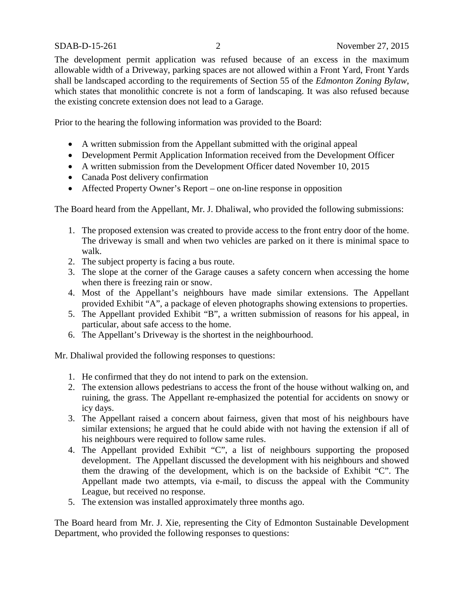The development permit application was refused because of an excess in the maximum allowable width of a Driveway, parking spaces are not allowed within a Front Yard, Front Yards shall be landscaped according to the requirements of Section 55 of the *Edmonton Zoning Bylaw*, which states that monolithic concrete is not a form of landscaping. It was also refused because the existing concrete extension does not lead to a Garage.

Prior to the hearing the following information was provided to the Board:

- A written submission from the Appellant submitted with the original appeal
- Development Permit Application Information received from the Development Officer
- A written submission from the Development Officer dated November 10, 2015
- Canada Post delivery confirmation
- Affected Property Owner's Report one on-line response in opposition

The Board heard from the Appellant, Mr. J. Dhaliwal, who provided the following submissions:

- 1. The proposed extension was created to provide access to the front entry door of the home. The driveway is small and when two vehicles are parked on it there is minimal space to walk.
- 2. The subject property is facing a bus route.
- 3. The slope at the corner of the Garage causes a safety concern when accessing the home when there is freezing rain or snow.
- 4. Most of the Appellant's neighbours have made similar extensions. The Appellant provided Exhibit "A", a package of eleven photographs showing extensions to properties.
- 5. The Appellant provided Exhibit "B", a written submission of reasons for his appeal, in particular, about safe access to the home.
- 6. The Appellant's Driveway is the shortest in the neighbourhood.

Mr. Dhaliwal provided the following responses to questions:

- 1. He confirmed that they do not intend to park on the extension.
- 2. The extension allows pedestrians to access the front of the house without walking on, and ruining, the grass. The Appellant re-emphasized the potential for accidents on snowy or icy days.
- 3. The Appellant raised a concern about fairness, given that most of his neighbours have similar extensions; he argued that he could abide with not having the extension if all of his neighbours were required to follow same rules.
- 4. The Appellant provided Exhibit "C", a list of neighbours supporting the proposed development. The Appellant discussed the development with his neighbours and showed them the drawing of the development, which is on the backside of Exhibit "C". The Appellant made two attempts, via e-mail, to discuss the appeal with the Community League, but received no response.
- 5. The extension was installed approximately three months ago.

The Board heard from Mr. J. Xie, representing the City of Edmonton Sustainable Development Department, who provided the following responses to questions: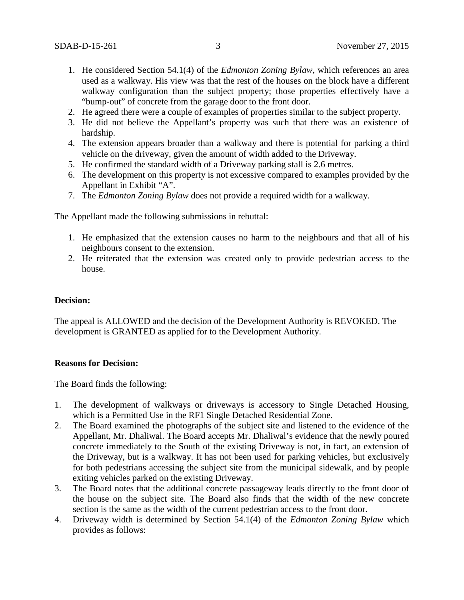- 1. He considered Section 54.1(4) of the *Edmonton Zoning Bylaw*, which references an area used as a walkway. His view was that the rest of the houses on the block have a different walkway configuration than the subject property; those properties effectively have a "bump-out" of concrete from the garage door to the front door.
- 2. He agreed there were a couple of examples of properties similar to the subject property.
- 3. He did not believe the Appellant's property was such that there was an existence of hardship.
- 4. The extension appears broader than a walkway and there is potential for parking a third vehicle on the driveway, given the amount of width added to the Driveway.
- 5. He confirmed the standard width of a Driveway parking stall is 2.6 metres.
- 6. The development on this property is not excessive compared to examples provided by the Appellant in Exhibit "A".
- 7. The *Edmonton Zoning Bylaw* does not provide a required width for a walkway.

The Appellant made the following submissions in rebuttal:

- 1. He emphasized that the extension causes no harm to the neighbours and that all of his neighbours consent to the extension.
- 2. He reiterated that the extension was created only to provide pedestrian access to the house.

#### **Decision:**

The appeal is ALLOWED and the decision of the Development Authority is REVOKED. The development is GRANTED as applied for to the Development Authority.

### **Reasons for Decision:**

The Board finds the following:

- 1. The development of walkways or driveways is accessory to Single Detached Housing, which is a Permitted Use in the RF1 Single Detached Residential Zone.
- 2. The Board examined the photographs of the subject site and listened to the evidence of the Appellant, Mr. Dhaliwal. The Board accepts Mr. Dhaliwal's evidence that the newly poured concrete immediately to the South of the existing Driveway is not, in fact, an extension of the Driveway, but is a walkway. It has not been used for parking vehicles, but exclusively for both pedestrians accessing the subject site from the municipal sidewalk, and by people exiting vehicles parked on the existing Driveway.
- 3. The Board notes that the additional concrete passageway leads directly to the front door of the house on the subject site. The Board also finds that the width of the new concrete section is the same as the width of the current pedestrian access to the front door.
- 4. Driveway width is determined by Section 54.1(4) of the *Edmonton Zoning Bylaw* which provides as follows: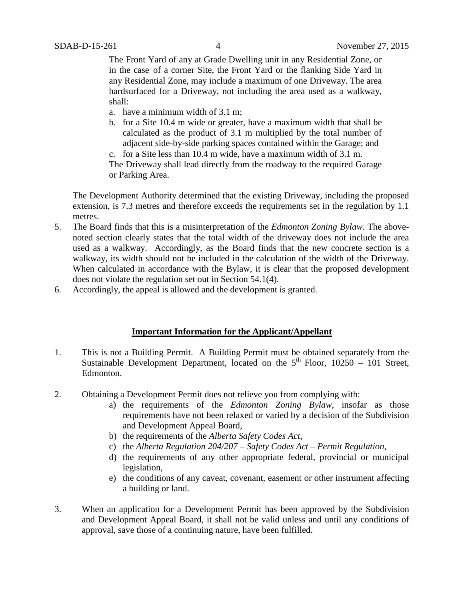The Front Yard of any at Grade Dwelling unit in any Residential Zone, or in the case of a corner Site, the Front Yard or the flanking Side Yard in any Residential Zone, may include a maximum of one Driveway. The area hardsurfaced for a Driveway, not including the area used as a walkway, shall:

- a. have a minimum width of 3.1 m;
- b. for a Site 10.4 m wide or greater, have a maximum width that shall be calculated as the product of 3.1 m multiplied by the total number of adjacent side-by-side parking spaces contained within the Garage; and
- c. for a Site less than 10.4 m wide, have a maximum width of 3.1 m.

The Driveway shall lead directly from the roadway to the required Garage or Parking Area.

The Development Authority determined that the existing Driveway, including the proposed extension, is 7.3 metres and therefore exceeds the requirements set in the regulation by 1.1 metres.

- 5. The Board finds that this is a misinterpretation of the *Edmonton Zoning Bylaw*. The abovenoted section clearly states that the total width of the driveway does not include the area used as a walkway. Accordingly, as the Board finds that the new concrete section is a walkway, its width should not be included in the calculation of the width of the Driveway. When calculated in accordance with the Bylaw, it is clear that the proposed development does not violate the regulation set out in Section 54.1(4).
- 6. Accordingly, the appeal is allowed and the development is granted.

## **Important Information for the Applicant/Appellant**

- 1. This is not a Building Permit. A Building Permit must be obtained separately from the Sustainable Development Department, located on the  $5<sup>th</sup>$  Floor, 10250 – 101 Street, Edmonton.
- 2. Obtaining a Development Permit does not relieve you from complying with:
	- a) the requirements of the *Edmonton Zoning Bylaw*, insofar as those requirements have not been relaxed or varied by a decision of the Subdivision and Development Appeal Board,
	- b) the requirements of the *Alberta Safety Codes Act*,
	- c) the *Alberta Regulation 204/207 – Safety Codes Act – Permit Regulation*,
	- d) the requirements of any other appropriate federal, provincial or municipal legislation,
	- e) the conditions of any caveat, covenant, easement or other instrument affecting a building or land.
- 3. When an application for a Development Permit has been approved by the Subdivision and Development Appeal Board, it shall not be valid unless and until any conditions of approval, save those of a continuing nature, have been fulfilled.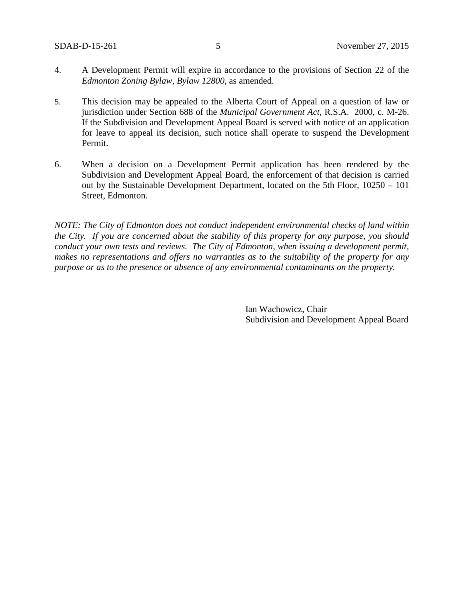- 4. A Development Permit will expire in accordance to the provisions of Section 22 of the *Edmonton Zoning Bylaw, Bylaw 12800*, as amended.
- 5. This decision may be appealed to the Alberta Court of Appeal on a question of law or jurisdiction under Section 688 of the *Municipal Government Act*, R.S.A. 2000, c. M-26. If the Subdivision and Development Appeal Board is served with notice of an application for leave to appeal its decision, such notice shall operate to suspend the Development Permit.
- 6. When a decision on a Development Permit application has been rendered by the Subdivision and Development Appeal Board, the enforcement of that decision is carried out by the Sustainable Development Department, located on the 5th Floor, 10250 – 101 Street, Edmonton.

*NOTE: The City of Edmonton does not conduct independent environmental checks of land within the City. If you are concerned about the stability of this property for any purpose, you should conduct your own tests and reviews. The City of Edmonton, when issuing a development permit, makes no representations and offers no warranties as to the suitability of the property for any purpose or as to the presence or absence of any environmental contaminants on the property.*

> Ian Wachowicz, Chair Subdivision and Development Appeal Board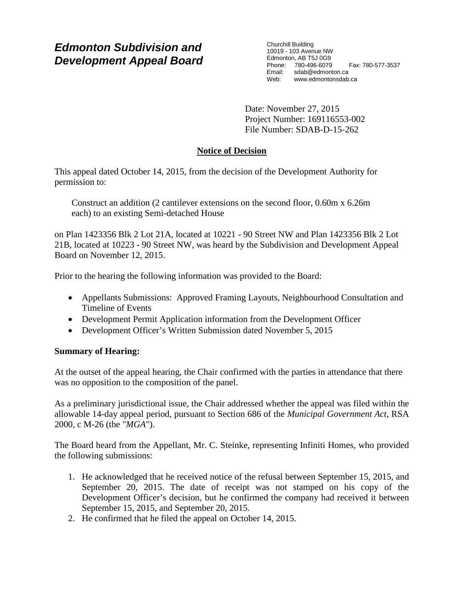Churchill Building 10019 - 103 Avenue NW Edmonton, AB T5J 0G9 Phone: 780-496-6079 Fax: 780-577-3537 Email: sdab@edmonton.ca Web: www.edmontonsdab.ca

Date: November 27, 2015 Project Number: 169116553-002 File Number: SDAB-D-15-262

# **Notice of Decision**

This appeal dated October 14, 2015, from the decision of the Development Authority for permission to:

Construct an addition (2 cantilever extensions on the second floor, 0.60m x 6.26m each) to an existing Semi-detached House

on Plan 1423356 Blk 2 Lot 21A, located at 10221 - 90 Street NW and Plan 1423356 Blk 2 Lot 21B, located at 10223 - 90 Street NW, was heard by the Subdivision and Development Appeal Board on November 12, 2015.

Prior to the hearing the following information was provided to the Board:

- Appellants Submissions: Approved Framing Layouts, Neighbourhood Consultation and Timeline of Events
- Development Permit Application information from the Development Officer
- Development Officer's Written Submission dated November 5, 2015

# **Summary of Hearing:**

At the outset of the appeal hearing, the Chair confirmed with the parties in attendance that there was no opposition to the composition of the panel.

As a preliminary jurisdictional issue, the Chair addressed whether the appeal was filed within the allowable 14-day appeal period, pursuant to Section 686 of the *Municipal Government Act*, RSA 2000, c M-26 (the "*MGA*").

The Board heard from the Appellant, Mr. C. Steinke, representing Infiniti Homes, who provided the following submissions:

- 1. He acknowledged that he received notice of the refusal between September 15, 2015, and September 20, 2015. The date of receipt was not stamped on his copy of the Development Officer's decision, but he confirmed the company had received it between September 15, 2015, and September 20, 2015.
- 2. He confirmed that he filed the appeal on October 14, 2015.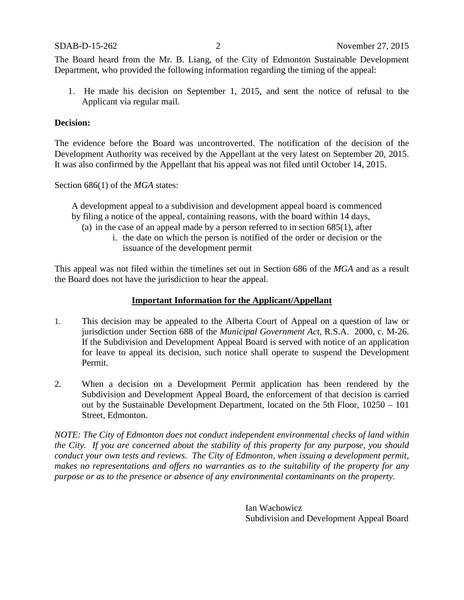The Board heard from the Mr. B. Liang, of the City of Edmonton Sustainable Development Department, who provided the following information regarding the timing of the appeal:

1. He made his decision on September 1, 2015, and sent the notice of refusal to the Applicant via regular mail.

### **Decision:**

The evidence before the Board was uncontroverted. The notification of the decision of the Development Authority was received by the Appellant at the very latest on September 20, 2015. It was also confirmed by the Appellant that his appeal was not filed until October 14, 2015.

Section 686(1) of the *MGA* states:

A development appeal to a subdivision and development appeal board is commenced by filing a notice of the appeal, containing reasons, with the board within 14 days,

- (a) in the case of an appeal made by a person referred to in section 685(1), after
	- i. the date on which the person is notified of the order or decision or the issuance of the development permit

This appeal was not filed within the timelines set out in Section 686 of the *MGA* and as a result the Board does not have the jurisdiction to hear the appeal.

## **Important Information for the Applicant/Appellant**

- 1. This decision may be appealed to the Alberta Court of Appeal on a question of law or jurisdiction under Section 688 of the *Municipal Government Act*, R.S.A. 2000, c. M-26. If the Subdivision and Development Appeal Board is served with notice of an application for leave to appeal its decision, such notice shall operate to suspend the Development Permit.
- 2. When a decision on a Development Permit application has been rendered by the Subdivision and Development Appeal Board, the enforcement of that decision is carried out by the Sustainable Development Department, located on the 5th Floor, 10250 – 101 Street, Edmonton.

*NOTE: The City of Edmonton does not conduct independent environmental checks of land within the City. If you are concerned about the stability of this property for any purpose, you should conduct your own tests and reviews. The City of Edmonton, when issuing a development permit, makes no representations and offers no warranties as to the suitability of the property for any purpose or as to the presence or absence of any environmental contaminants on the property.*

> Ian Wachowicz Subdivision and Development Appeal Board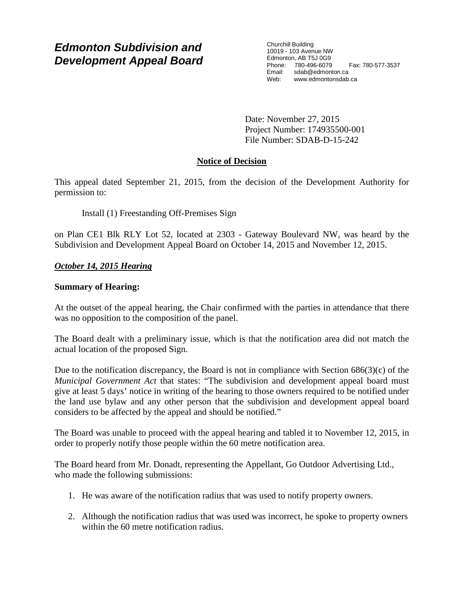Churchill Building 10019 - 103 Avenue NW Edmonton, AB T5J 0G9 Phone: 780-496-6079 Fax: 780-577-3537 Email: sdab@edmonton.ca Web: www.edmontonsdab.ca

Date: November 27, 2015 Project Number: 174935500-001 File Number: SDAB-D-15-242

# **Notice of Decision**

This appeal dated September 21, 2015, from the decision of the Development Authority for permission to:

Install (1) Freestanding Off-Premises Sign

on Plan CE1 Blk RLY Lot 52, located at 2303 - Gateway Boulevard NW, was heard by the Subdivision and Development Appeal Board on October 14, 2015 and November 12, 2015.

# *October 14, 2015 Hearing*

## **Summary of Hearing:**

At the outset of the appeal hearing, the Chair confirmed with the parties in attendance that there was no opposition to the composition of the panel.

The Board dealt with a preliminary issue, which is that the notification area did not match the actual location of the proposed Sign.

Due to the notification discrepancy, the Board is not in compliance with Section  $686(3)(c)$  of the *Municipal Government Act* that states: "The subdivision and development appeal board must give at least 5 days' notice in writing of the hearing to those owners required to be notified under the land use bylaw and any other person that the subdivision and development appeal board considers to be affected by the appeal and should be notified."

The Board was unable to proceed with the appeal hearing and tabled it to November 12, 2015, in order to properly notify those people within the 60 metre notification area.

The Board heard from Mr. Donadt, representing the Appellant, Go Outdoor Advertising Ltd., who made the following submissions:

- 1. He was aware of the notification radius that was used to notify property owners.
- 2. Although the notification radius that was used was incorrect, he spoke to property owners within the 60 metre notification radius.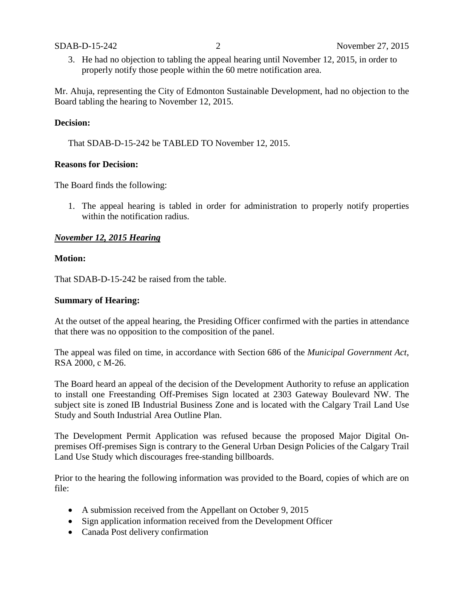3. He had no objection to tabling the appeal hearing until November 12, 2015, in order to properly notify those people within the 60 metre notification area.

Mr. Ahuja, representing the City of Edmonton Sustainable Development, had no objection to the Board tabling the hearing to November 12, 2015.

## **Decision:**

That SDAB-D-15-242 be TABLED TO November 12, 2015.

### **Reasons for Decision:**

The Board finds the following:

1. The appeal hearing is tabled in order for administration to properly notify properties within the notification radius.

### *November 12, 2015 Hearing*

#### **Motion:**

That SDAB-D-15-242 be raised from the table.

#### **Summary of Hearing:**

At the outset of the appeal hearing, the Presiding Officer confirmed with the parties in attendance that there was no opposition to the composition of the panel.

The appeal was filed on time, in accordance with Section 686 of the *Municipal Government Act*, RSA 2000, c M-26.

The Board heard an appeal of the decision of the Development Authority to refuse an application to install one Freestanding Off-Premises Sign located at 2303 Gateway Boulevard NW. The subject site is zoned IB Industrial Business Zone and is located with the Calgary Trail Land Use Study and South Industrial Area Outline Plan.

The Development Permit Application was refused because the proposed Major Digital Onpremises Off-premises Sign is contrary to the General Urban Design Policies of the Calgary Trail Land Use Study which discourages free-standing billboards.

Prior to the hearing the following information was provided to the Board, copies of which are on file:

- A submission received from the Appellant on October 9, 2015
- Sign application information received from the Development Officer
- Canada Post delivery confirmation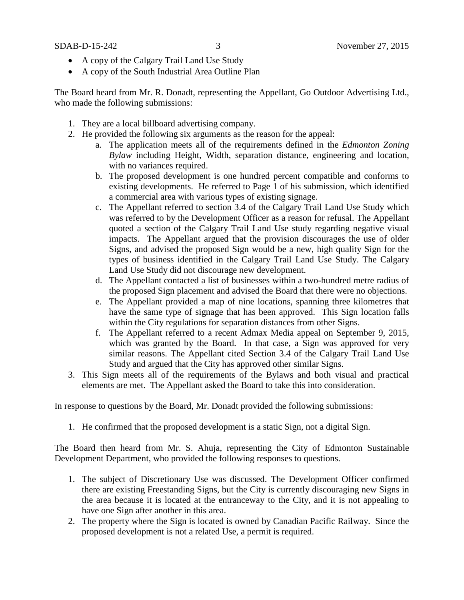- A copy of the Calgary Trail Land Use Study
- A copy of the South Industrial Area Outline Plan

The Board heard from Mr. R. Donadt, representing the Appellant, Go Outdoor Advertising Ltd., who made the following submissions:

- 1. They are a local billboard advertising company.
- 2. He provided the following six arguments as the reason for the appeal:
	- a. The application meets all of the requirements defined in the *Edmonton Zoning Bylaw* including Height, Width, separation distance, engineering and location, with no variances required.
	- b. The proposed development is one hundred percent compatible and conforms to existing developments. He referred to Page 1 of his submission, which identified a commercial area with various types of existing signage.
	- c. The Appellant referred to section 3.4 of the Calgary Trail Land Use Study which was referred to by the Development Officer as a reason for refusal. The Appellant quoted a section of the Calgary Trail Land Use study regarding negative visual impacts. The Appellant argued that the provision discourages the use of older Signs, and advised the proposed Sign would be a new, high quality Sign for the types of business identified in the Calgary Trail Land Use Study. The Calgary Land Use Study did not discourage new development.
	- d. The Appellant contacted a list of businesses within a two-hundred metre radius of the proposed Sign placement and advised the Board that there were no objections.
	- e. The Appellant provided a map of nine locations, spanning three kilometres that have the same type of signage that has been approved. This Sign location falls within the City regulations for separation distances from other Signs.
	- f. The Appellant referred to a recent Admax Media appeal on September 9, 2015, which was granted by the Board. In that case, a Sign was approved for very similar reasons. The Appellant cited Section 3.4 of the Calgary Trail Land Use Study and argued that the City has approved other similar Signs.
- 3. This Sign meets all of the requirements of the Bylaws and both visual and practical elements are met. The Appellant asked the Board to take this into consideration.

In response to questions by the Board, Mr. Donadt provided the following submissions:

1. He confirmed that the proposed development is a static Sign, not a digital Sign.

The Board then heard from Mr. S. Ahuja, representing the City of Edmonton Sustainable Development Department, who provided the following responses to questions.

- 1. The subject of Discretionary Use was discussed. The Development Officer confirmed there are existing Freestanding Signs, but the City is currently discouraging new Signs in the area because it is located at the entranceway to the City, and it is not appealing to have one Sign after another in this area.
- 2. The property where the Sign is located is owned by Canadian Pacific Railway. Since the proposed development is not a related Use, a permit is required.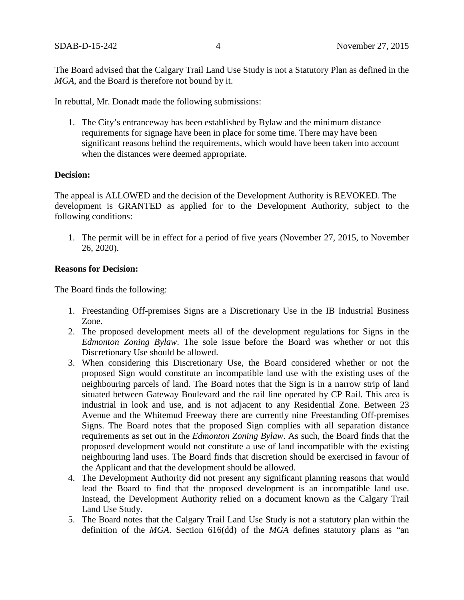The Board advised that the Calgary Trail Land Use Study is not a Statutory Plan as defined in the *MGA*, and the Board is therefore not bound by it.

In rebuttal, Mr. Donadt made the following submissions:

1. The City's entranceway has been established by Bylaw and the minimum distance requirements for signage have been in place for some time. There may have been significant reasons behind the requirements, which would have been taken into account when the distances were deemed appropriate.

## **Decision:**

The appeal is ALLOWED and the decision of the Development Authority is REVOKED. The development is GRANTED as applied for to the Development Authority, subject to the following conditions:

1. The permit will be in effect for a period of five years (November 27, 2015, to November 26, 2020).

### **Reasons for Decision:**

The Board finds the following:

- 1. Freestanding Off-premises Signs are a Discretionary Use in the IB Industrial Business Zone.
- 2. The proposed development meets all of the development regulations for Signs in the *Edmonton Zoning Bylaw*. The sole issue before the Board was whether or not this Discretionary Use should be allowed.
- 3. When considering this Discretionary Use, the Board considered whether or not the proposed Sign would constitute an incompatible land use with the existing uses of the neighbouring parcels of land. The Board notes that the Sign is in a narrow strip of land situated between Gateway Boulevard and the rail line operated by CP Rail. This area is industrial in look and use, and is not adjacent to any Residential Zone. Between 23 Avenue and the Whitemud Freeway there are currently nine Freestanding Off-premises Signs. The Board notes that the proposed Sign complies with all separation distance requirements as set out in the *Edmonton Zoning Bylaw*. As such, the Board finds that the proposed development would not constitute a use of land incompatible with the existing neighbouring land uses. The Board finds that discretion should be exercised in favour of the Applicant and that the development should be allowed.
- 4. The Development Authority did not present any significant planning reasons that would lead the Board to find that the proposed development is an incompatible land use. Instead, the Development Authority relied on a document known as the Calgary Trail Land Use Study.
- 5. The Board notes that the Calgary Trail Land Use Study is not a statutory plan within the definition of the *MGA*. Section 616(dd) of the *MGA* defines statutory plans as "an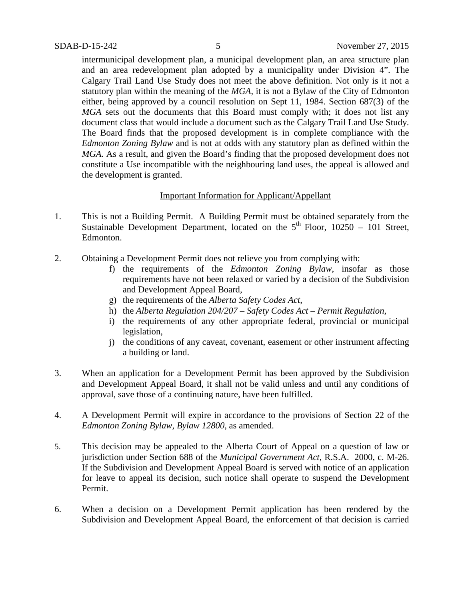intermunicipal development plan, a municipal development plan, an area structure plan and an area redevelopment plan adopted by a municipality under Division 4". The Calgary Trail Land Use Study does not meet the above definition. Not only is it not a statutory plan within the meaning of the *MGA*, it is not a Bylaw of the City of Edmonton either, being approved by a council resolution on Sept 11, 1984. Section 687(3) of the *MGA* sets out the documents that this Board must comply with; it does not list any document class that would include a document such as the Calgary Trail Land Use Study. The Board finds that the proposed development is in complete compliance with the *Edmonton Zoning Bylaw* and is not at odds with any statutory plan as defined within the *MGA*. As a result, and given the Board's finding that the proposed development does not constitute a Use incompatible with the neighbouring land uses, the appeal is allowed and the development is granted.

## Important Information for Applicant/Appellant

- 1. This is not a Building Permit. A Building Permit must be obtained separately from the Sustainable Development Department, located on the  $5<sup>th</sup>$  Floor, 10250 – 101 Street, Edmonton.
- 2. Obtaining a Development Permit does not relieve you from complying with:
	- f) the requirements of the *Edmonton Zoning Bylaw*, insofar as those requirements have not been relaxed or varied by a decision of the Subdivision and Development Appeal Board,
	- g) the requirements of the *Alberta Safety Codes Act*,
	- h) the *Alberta Regulation 204/207 – Safety Codes Act – Permit Regulation*,
	- i) the requirements of any other appropriate federal, provincial or municipal legislation,
	- j) the conditions of any caveat, covenant, easement or other instrument affecting a building or land.
- 3. When an application for a Development Permit has been approved by the Subdivision and Development Appeal Board, it shall not be valid unless and until any conditions of approval, save those of a continuing nature, have been fulfilled.
- 4. A Development Permit will expire in accordance to the provisions of Section 22 of the *Edmonton Zoning Bylaw, Bylaw 12800*, as amended.
- 5. This decision may be appealed to the Alberta Court of Appeal on a question of law or jurisdiction under Section 688 of the *Municipal Government Act*, R.S.A. 2000, c. M-26. If the Subdivision and Development Appeal Board is served with notice of an application for leave to appeal its decision, such notice shall operate to suspend the Development Permit.
- 6. When a decision on a Development Permit application has been rendered by the Subdivision and Development Appeal Board, the enforcement of that decision is carried